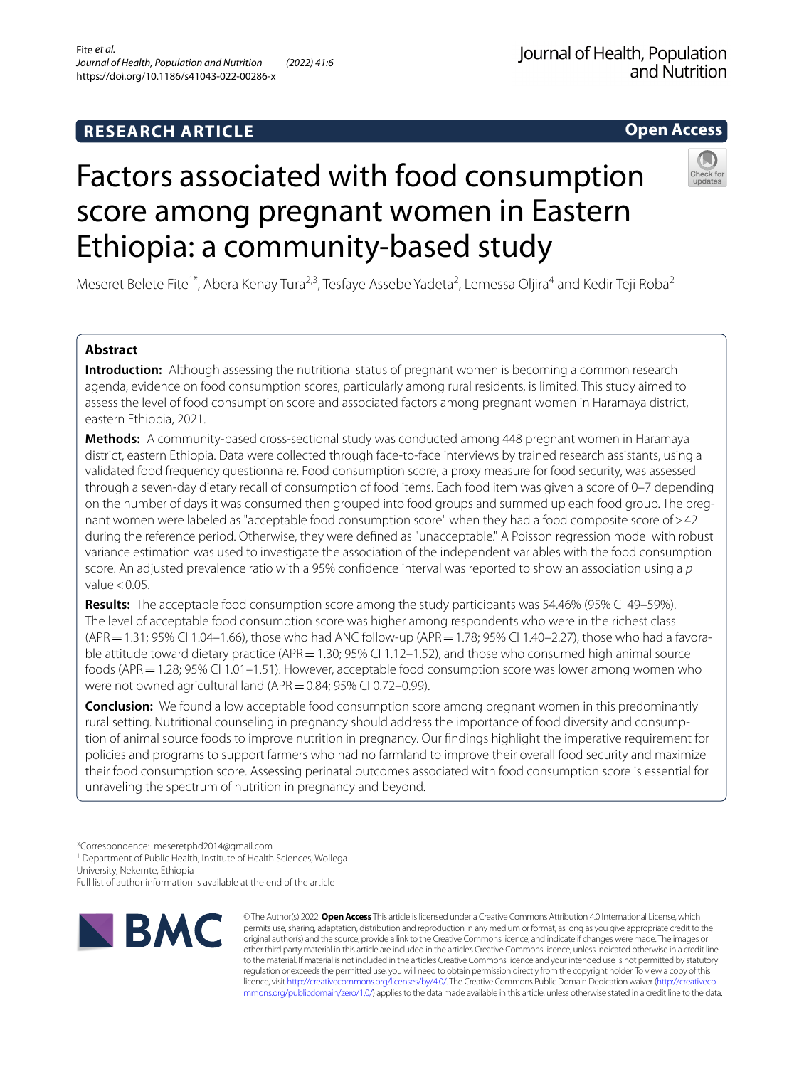# **RESEARCH ARTICLE**

## Journal of Health, Population and Nutrition

**Open Access**

# Factors associated with food consumption score among pregnant women in Eastern Ethiopia: a community-based study



Meseret Belete Fite<sup>1\*</sup>, Abera Kenay Tura<sup>2,3</sup>, Tesfaye Assebe Yadeta<sup>2</sup>, Lemessa Oljira<sup>4</sup> and Kedir Teji Roba<sup>2</sup>

## **Abstract**

**Introduction:** Although assessing the nutritional status of pregnant women is becoming a common research agenda, evidence on food consumption scores, particularly among rural residents, is limited. This study aimed to assess the level of food consumption score and associated factors among pregnant women in Haramaya district, eastern Ethiopia, 2021.

**Methods:** A community-based cross-sectional study was conducted among 448 pregnant women in Haramaya district, eastern Ethiopia. Data were collected through face-to-face interviews by trained research assistants, using a validated food frequency questionnaire. Food consumption score, a proxy measure for food security, was assessed through a seven-day dietary recall of consumption of food items. Each food item was given a score of 0–7 depending on the number of days it was consumed then grouped into food groups and summed up each food group. The pregnant women were labeled as "acceptable food consumption score" when they had a food composite score of>42 during the reference period. Otherwise, they were defned as "unacceptable." A Poisson regression model with robust variance estimation was used to investigate the association of the independent variables with the food consumption score. An adjusted prevalence ratio with a 95% confdence interval was reported to show an association using a *p* value $< 0.05$ .

**Results:** The acceptable food consumption score among the study participants was 54.46% (95% CI 49–59%). The level of acceptable food consumption score was higher among respondents who were in the richest class  $(APR = 1.31; 95\%$  CI 1.04–1.66), those who had ANC follow-up (APR = 1.78; 95% CI 1.40–2.27), those who had a favorable attitude toward dietary practice (APR=1.30; 95% CI 1.12-1.52), and those who consumed high animal source foods (APR = 1.28; 95% CI 1.01–1.51). However, acceptable food consumption score was lower among women who were not owned agricultural land (APR = 0.84; 95% CI 0.72-0.99).

**Conclusion:** We found a low acceptable food consumption score among pregnant women in this predominantly rural setting. Nutritional counseling in pregnancy should address the importance of food diversity and consumption of animal source foods to improve nutrition in pregnancy. Our fndings highlight the imperative requirement for policies and programs to support farmers who had no farmland to improve their overall food security and maximize their food consumption score. Assessing perinatal outcomes associated with food consumption score is essential for unraveling the spectrum of nutrition in pregnancy and beyond.

University, Nekemte, Ethiopia

Full list of author information is available at the end of the article



© The Author(s) 2022. **Open Access** This article is licensed under a Creative Commons Attribution 4.0 International License, which permits use, sharing, adaptation, distribution and reproduction in any medium or format, as long as you give appropriate credit to the original author(s) and the source, provide a link to the Creative Commons licence, and indicate if changes were made. The images or other third party material in this article are included in the article's Creative Commons licence, unless indicated otherwise in a credit line to the material. If material is not included in the article's Creative Commons licence and your intended use is not permitted by statutory regulation or exceeds the permitted use, you will need to obtain permission directly from the copyright holder. To view a copy of this licence, visit [http://creativecommons.org/licenses/by/4.0/.](http://creativecommons.org/licenses/by/4.0/) The Creative Commons Public Domain Dedication waiver ([http://creativeco](http://creativecommons.org/publicdomain/zero/1.0/) [mmons.org/publicdomain/zero/1.0/](http://creativecommons.org/publicdomain/zero/1.0/)) applies to the data made available in this article, unless otherwise stated in a credit line to the data.

<sup>\*</sup>Correspondence: meseretphd2014@gmail.com

<sup>&</sup>lt;sup>1</sup> Department of Public Health, Institute of Health Sciences, Wollega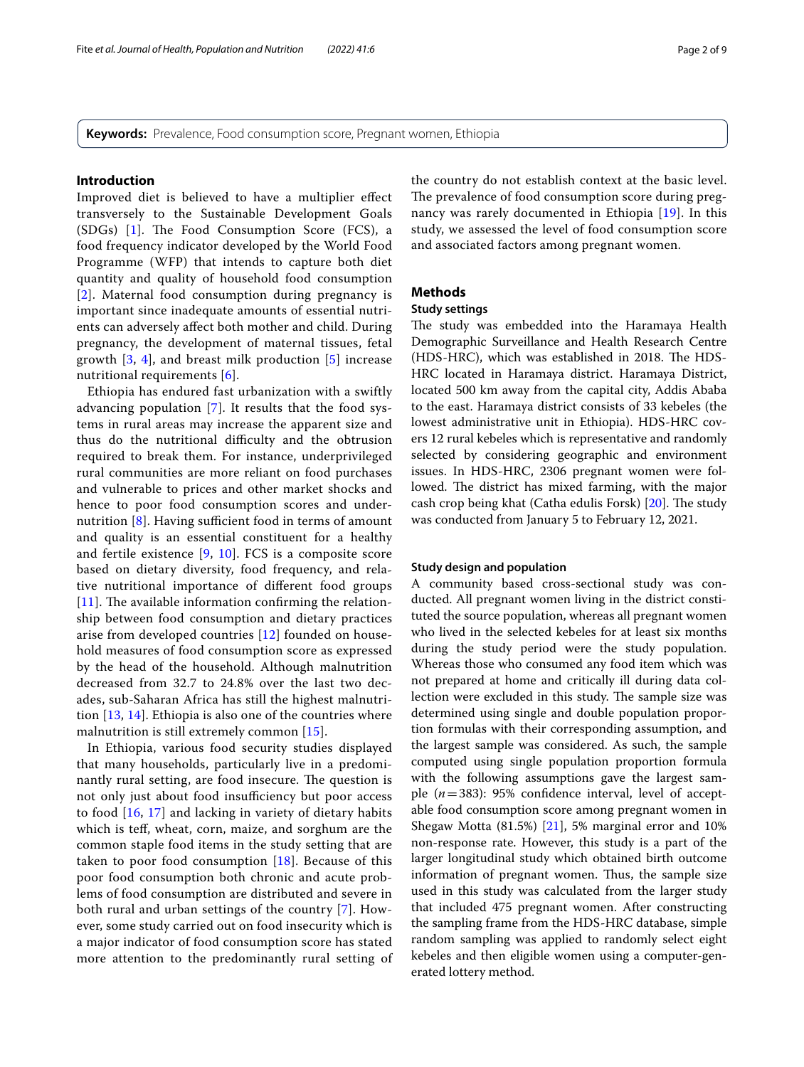**Keywords:** Prevalence, Food consumption score, Pregnant women, Ethiopia

#### **Introduction**

Improved diet is believed to have a multiplier efect transversely to the Sustainable Development Goals  $(SDGs)$  [[1\]](#page-7-0). The Food Consumption Score (FCS), a food frequency indicator developed by the World Food Programme (WFP) that intends to capture both diet quantity and quality of household food consumption [[2](#page-7-1)]. Maternal food consumption during pregnancy is important since inadequate amounts of essential nutrients can adversely afect both mother and child. During pregnancy, the development of maternal tissues, fetal growth  $[3, 4]$  $[3, 4]$  $[3, 4]$  $[3, 4]$ , and breast milk production  $[5]$  $[5]$  $[5]$  increase nutritional requirements [[6\]](#page-7-5).

Ethiopia has endured fast urbanization with a swiftly advancing population [\[7\]](#page-7-6). It results that the food systems in rural areas may increase the apparent size and thus do the nutritional difficulty and the obtrusion required to break them. For instance, underprivileged rural communities are more reliant on food purchases and vulnerable to prices and other market shocks and hence to poor food consumption scores and undernutrition  $[8]$  $[8]$ . Having sufficient food in terms of amount and quality is an essential constituent for a healthy and fertile existence [[9,](#page-7-8) [10\]](#page-7-9). FCS is a composite score based on dietary diversity, food frequency, and relative nutritional importance of diferent food groups  $[11]$  $[11]$  $[11]$ . The available information confirming the relationship between food consumption and dietary practices arise from developed countries [\[12](#page-7-11)] founded on household measures of food consumption score as expressed by the head of the household. Although malnutrition decreased from 32.7 to 24.8% over the last two decades, sub-Saharan Africa has still the highest malnutrition [\[13,](#page-7-12) [14\]](#page-7-13). Ethiopia is also one of the countries where malnutrition is still extremely common [[15](#page-7-14)].

In Ethiopia, various food security studies displayed that many households, particularly live in a predominantly rural setting, are food insecure. The question is not only just about food insufficiency but poor access to food [[16](#page-7-15), [17\]](#page-7-16) and lacking in variety of dietary habits which is tef, wheat, corn, maize, and sorghum are the common staple food items in the study setting that are taken to poor food consumption  $[18]$ . Because of this poor food consumption both chronic and acute problems of food consumption are distributed and severe in both rural and urban settings of the country [[7](#page-7-6)]. However, some study carried out on food insecurity which is a major indicator of food consumption score has stated more attention to the predominantly rural setting of the country do not establish context at the basic level. The prevalence of food consumption score during pregnancy was rarely documented in Ethiopia [\[19](#page-7-18)]. In this study, we assessed the level of food consumption score and associated factors among pregnant women.

## **Methods**

#### **Study settings**

The study was embedded into the Haramaya Health Demographic Surveillance and Health Research Centre (HDS-HRC), which was established in 2018. The HDS-HRC located in Haramaya district. Haramaya District, located 500 km away from the capital city, Addis Ababa to the east. Haramaya district consists of 33 kebeles (the lowest administrative unit in Ethiopia). HDS-HRC covers 12 rural kebeles which is representative and randomly selected by considering geographic and environment issues. In HDS-HRC, 2306 pregnant women were followed. The district has mixed farming, with the major cash crop being khat (Catha edulis Forsk) [[20\]](#page-7-19). The study was conducted from January 5 to February 12, 2021.

#### **Study design and population**

A community based cross-sectional study was conducted. All pregnant women living in the district constituted the source population, whereas all pregnant women who lived in the selected kebeles for at least six months during the study period were the study population. Whereas those who consumed any food item which was not prepared at home and critically ill during data collection were excluded in this study. The sample size was determined using single and double population proportion formulas with their corresponding assumption, and the largest sample was considered. As such, the sample computed using single population proportion formula with the following assumptions gave the largest sample  $(n=383)$ : 95% confidence interval, level of acceptable food consumption score among pregnant women in Shegaw Motta (81.5%) [[21\]](#page-7-20), 5% marginal error and 10% non-response rate. However, this study is a part of the larger longitudinal study which obtained birth outcome information of pregnant women. Thus, the sample size used in this study was calculated from the larger study that included 475 pregnant women. After constructing the sampling frame from the HDS-HRC database, simple random sampling was applied to randomly select eight kebeles and then eligible women using a computer-generated lottery method.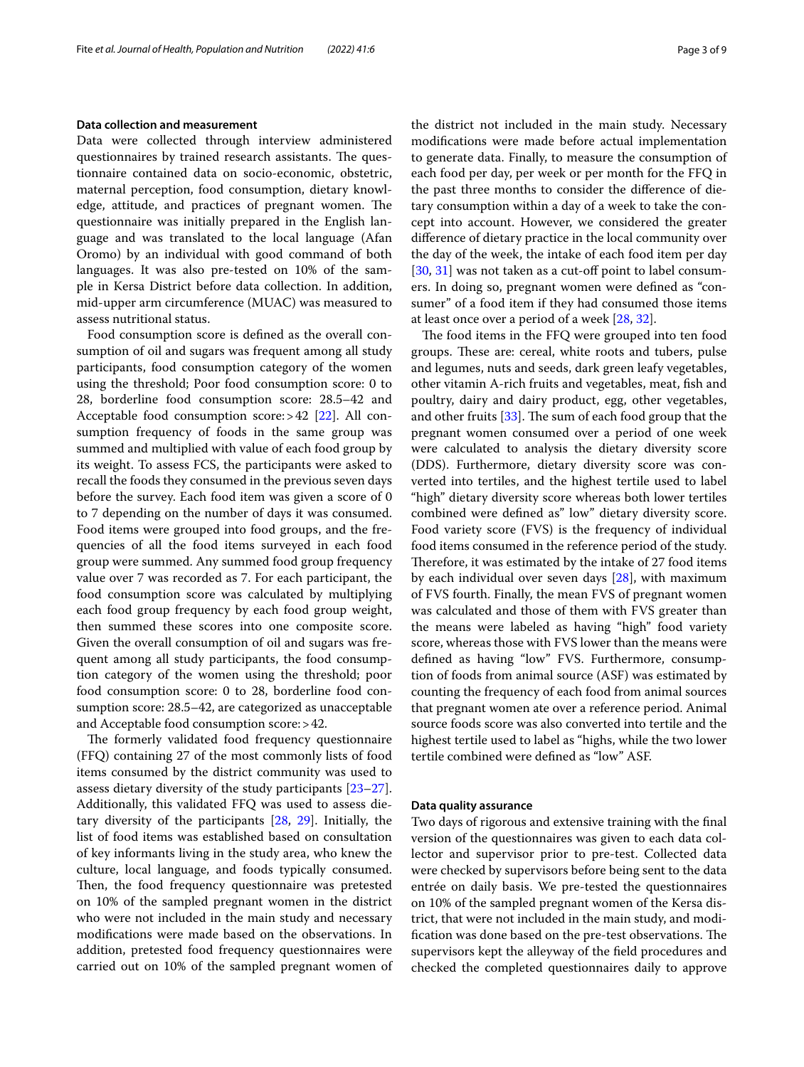#### **Data collection and measurement**

Data were collected through interview administered questionnaires by trained research assistants. The questionnaire contained data on socio-economic, obstetric, maternal perception, food consumption, dietary knowledge, attitude, and practices of pregnant women. The questionnaire was initially prepared in the English language and was translated to the local language (Afan Oromo) by an individual with good command of both languages. It was also pre-tested on 10% of the sample in Kersa District before data collection. In addition, mid-upper arm circumference (MUAC) was measured to assess nutritional status.

Food consumption score is defned as the overall consumption of oil and sugars was frequent among all study participants, food consumption category of the women using the threshold; Poor food consumption score: 0 to 28, borderline food consumption score: 28.5–42 and Acceptable food consumption score:>42 [\[22\]](#page-7-21). All consumption frequency of foods in the same group was summed and multiplied with value of each food group by its weight. To assess FCS, the participants were asked to recall the foods they consumed in the previous seven days before the survey. Each food item was given a score of 0 to 7 depending on the number of days it was consumed. Food items were grouped into food groups, and the frequencies of all the food items surveyed in each food group were summed. Any summed food group frequency value over 7 was recorded as 7. For each participant, the food consumption score was calculated by multiplying each food group frequency by each food group weight, then summed these scores into one composite score. Given the overall consumption of oil and sugars was frequent among all study participants, the food consumption category of the women using the threshold; poor food consumption score: 0 to 28, borderline food consumption score: 28.5–42, are categorized as unacceptable and Acceptable food consumption score:>42.

The formerly validated food frequency questionnaire (FFQ) containing 27 of the most commonly lists of food items consumed by the district community was used to assess dietary diversity of the study participants [[23](#page-7-22)[–27](#page-7-23)]. Additionally, this validated FFQ was used to assess dietary diversity of the participants [[28](#page-7-24), [29](#page-7-25)]. Initially, the list of food items was established based on consultation of key informants living in the study area, who knew the culture, local language, and foods typically consumed. Then, the food frequency questionnaire was pretested on 10% of the sampled pregnant women in the district who were not included in the main study and necessary modifcations were made based on the observations. In addition, pretested food frequency questionnaires were carried out on 10% of the sampled pregnant women of the district not included in the main study. Necessary modifcations were made before actual implementation to generate data. Finally, to measure the consumption of each food per day, per week or per month for the FFQ in the past three months to consider the diference of dietary consumption within a day of a week to take the concept into account. However, we considered the greater diference of dietary practice in the local community over the day of the week, the intake of each food item per day [[30,](#page-7-26) [31](#page-7-27)] was not taken as a cut-off point to label consumers. In doing so, pregnant women were defned as "consumer" of a food item if they had consumed those items at least once over a period of a week [[28,](#page-7-24) [32](#page-7-28)].

The food items in the FFQ were grouped into ten food groups. These are: cereal, white roots and tubers, pulse and legumes, nuts and seeds, dark green leafy vegetables, other vitamin A-rich fruits and vegetables, meat, fsh and poultry, dairy and dairy product, egg, other vegetables, and other fruits  $[33]$  $[33]$ . The sum of each food group that the pregnant women consumed over a period of one week were calculated to analysis the dietary diversity score (DDS). Furthermore, dietary diversity score was converted into tertiles, and the highest tertile used to label "high" dietary diversity score whereas both lower tertiles combined were defned as" low" dietary diversity score. Food variety score (FVS) is the frequency of individual food items consumed in the reference period of the study. Therefore, it was estimated by the intake of 27 food items by each individual over seven days [\[28](#page-7-24)], with maximum of FVS fourth. Finally, the mean FVS of pregnant women was calculated and those of them with FVS greater than the means were labeled as having "high" food variety score, whereas those with FVS lower than the means were defned as having "low" FVS. Furthermore, consumption of foods from animal source (ASF) was estimated by counting the frequency of each food from animal sources that pregnant women ate over a reference period. Animal source foods score was also converted into tertile and the highest tertile used to label as "highs, while the two lower tertile combined were defned as "low" ASF.

#### **Data quality assurance**

Two days of rigorous and extensive training with the fnal version of the questionnaires was given to each data collector and supervisor prior to pre-test. Collected data were checked by supervisors before being sent to the data entrée on daily basis. We pre-tested the questionnaires on 10% of the sampled pregnant women of the Kersa district, that were not included in the main study, and modification was done based on the pre-test observations. The supervisors kept the alleyway of the feld procedures and checked the completed questionnaires daily to approve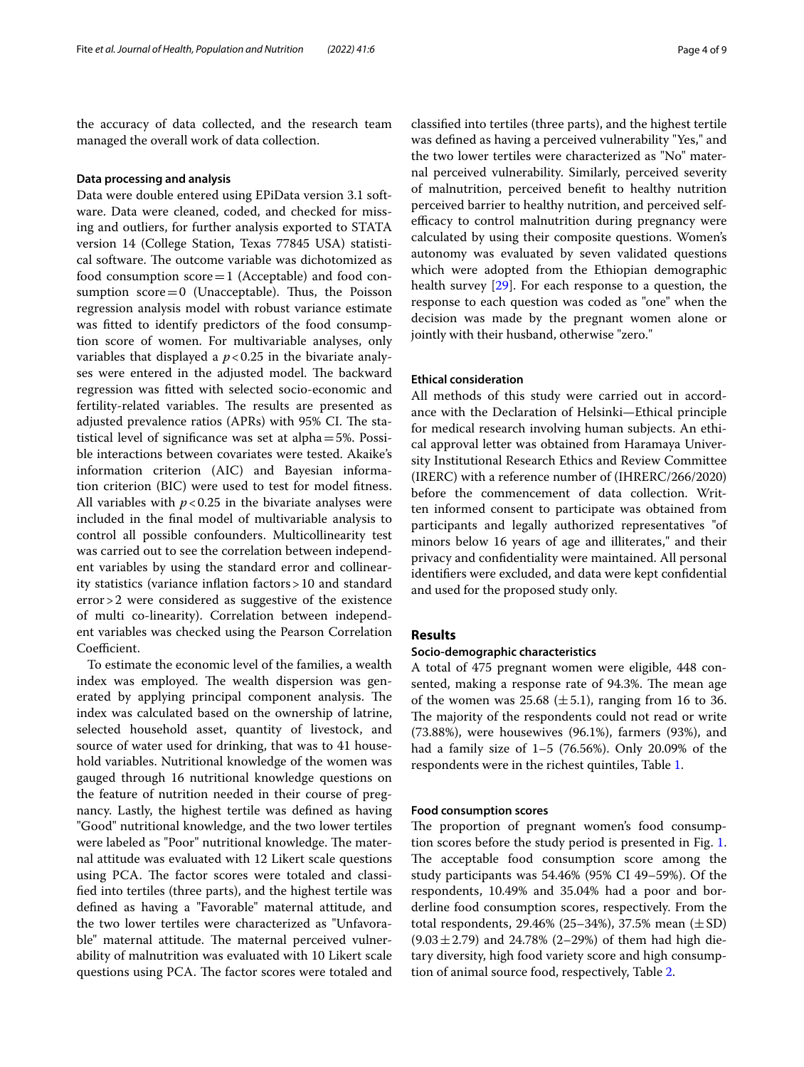the accuracy of data collected, and the research team managed the overall work of data collection.

#### **Data processing and analysis**

Data were double entered using EPiData version 3.1 software. Data were cleaned, coded, and checked for missing and outliers, for further analysis exported to STATA version 14 (College Station, Texas 77845 USA) statistical software. The outcome variable was dichotomized as food consumption  $score=1$  (Acceptable) and food consumption  $score=0$  (Unacceptable). Thus, the Poisson regression analysis model with robust variance estimate was ftted to identify predictors of the food consumption score of women. For multivariable analyses, only variables that displayed a  $p < 0.25$  in the bivariate analyses were entered in the adjusted model. The backward regression was ftted with selected socio-economic and fertility-related variables. The results are presented as adjusted prevalence ratios (APRs) with 95% CI. The statistical level of signifcance was set at alpha=5%. Possible interactions between covariates were tested. Akaike's information criterion (AIC) and Bayesian information criterion (BIC) were used to test for model ftness. All variables with  $p < 0.25$  in the bivariate analyses were included in the fnal model of multivariable analysis to control all possible confounders. Multicollinearity test was carried out to see the correlation between independent variables by using the standard error and collinearity statistics (variance infation factors>10 and standard error>2 were considered as suggestive of the existence of multi co-linearity). Correlation between independent variables was checked using the Pearson Correlation Coefficient.

To estimate the economic level of the families, a wealth index was employed. The wealth dispersion was generated by applying principal component analysis. The index was calculated based on the ownership of latrine, selected household asset, quantity of livestock, and source of water used for drinking, that was to 41 household variables. Nutritional knowledge of the women was gauged through 16 nutritional knowledge questions on the feature of nutrition needed in their course of pregnancy. Lastly, the highest tertile was defned as having "Good" nutritional knowledge, and the two lower tertiles were labeled as "Poor" nutritional knowledge. The maternal attitude was evaluated with 12 Likert scale questions using PCA. The factor scores were totaled and classifed into tertiles (three parts), and the highest tertile was defned as having a "Favorable" maternal attitude, and the two lower tertiles were characterized as "Unfavorable" maternal attitude. The maternal perceived vulnerability of malnutrition was evaluated with 10 Likert scale questions using PCA. The factor scores were totaled and classifed into tertiles (three parts), and the highest tertile was defned as having a perceived vulnerability "Yes," and the two lower tertiles were characterized as "No" maternal perceived vulnerability. Similarly, perceived severity of malnutrition, perceived beneft to healthy nutrition perceived barrier to healthy nutrition, and perceived selfefficacy to control malnutrition during pregnancy were calculated by using their composite questions. Women's autonomy was evaluated by seven validated questions which were adopted from the Ethiopian demographic health survey [\[29](#page-7-25)]. For each response to a question, the response to each question was coded as "one" when the decision was made by the pregnant women alone or jointly with their husband, otherwise "zero."

#### **Ethical consideration**

All methods of this study were carried out in accordance with the Declaration of Helsinki—Ethical principle for medical research involving human subjects. An ethical approval letter was obtained from Haramaya University Institutional Research Ethics and Review Committee (IRERC) with a reference number of (IHRERC/266/2020) before the commencement of data collection. Written informed consent to participate was obtained from participants and legally authorized representatives "of minors below 16 years of age and illiterates," and their privacy and confdentiality were maintained. All personal identifers were excluded, and data were kept confdential and used for the proposed study only.

#### **Results**

#### **Socio‑demographic characteristics**

A total of 475 pregnant women were eligible, 448 consented, making a response rate of 94.3%. The mean age of the women was  $25.68 \ (\pm 5.1)$ , ranging from 16 to 36. The majority of the respondents could not read or write (73.88%), were housewives (96.1%), farmers (93%), and had a family size of 1–5 (76.56%). Only 20.09% of the respondents were in the richest quintiles, Table [1](#page-4-0).

#### **Food consumption scores**

The proportion of pregnant women's food consumption scores before the study period is presented in Fig. [1](#page-4-1). The acceptable food consumption score among the study participants was 54.46% (95% CI 49–59%). Of the respondents, 10.49% and 35.04% had a poor and borderline food consumption scores, respectively. From the total respondents, 29.46% (25–34%), 37.5% mean  $(\pm SD)$  $(9.03 \pm 2.79)$  and 24.78% (2-29%) of them had high dietary diversity, high food variety score and high consumption of animal source food, respectively, Table [2](#page-4-2).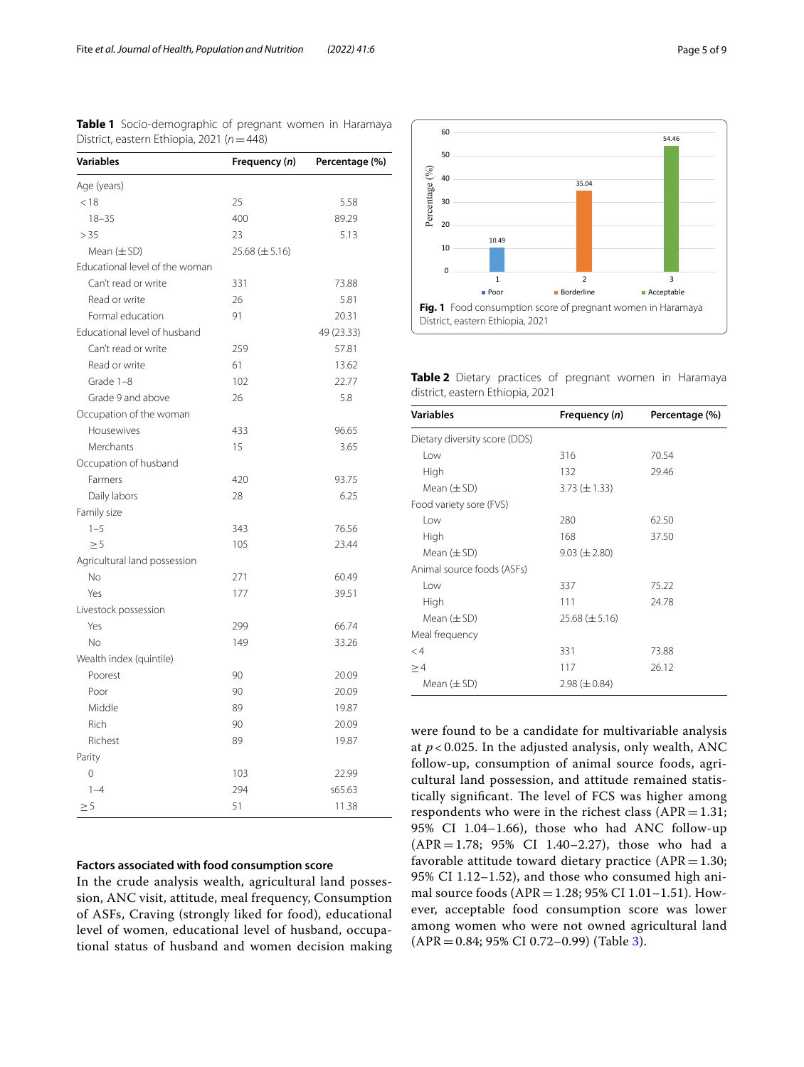| <b>Variables</b>               | Frequency (n)        | Percentage (%) |
|--------------------------------|----------------------|----------------|
| Age (years)                    |                      |                |
| < 18                           | 25                   | 5.58           |
| $18 - 35$                      | 400                  | 89.29          |
| > 35                           | 23                   | 5.13           |
| Mean $(\pm SD)$                | $25.68 \ (\pm 5.16)$ |                |
| Educational level of the woman |                      |                |
| Can't read or write            | 331                  | 73.88          |
| Read or write                  | 26                   | 5.81           |
| Formal education               | 91                   | 20.31          |
| Educational level of husband   |                      | 49 (23.33)     |
| Can't read or write            | 259                  | 57.81          |
| Read or write                  | 61                   | 13.62          |
| Grade 1-8                      | 102                  | 22.77          |
| Grade 9 and above              | 26                   | 5.8            |
| Occupation of the woman        |                      |                |
| Housewives                     | 433                  | 96.65          |
| Merchants                      | 15                   | 3.65           |
| Occupation of husband          |                      |                |
| Farmers                        | 420                  | 93.75          |
| Daily labors                   | 28                   | 6.25           |
| Family size                    |                      |                |
| $1 - 5$                        | 343                  | 76.56          |
| $\geq 5$                       | 105                  | 23.44          |
| Agricultural land possession   |                      |                |
| No.                            | 271                  | 60.49          |
| Yes                            | 177                  | 39.51          |
| Livestock possession           |                      |                |
| Yes                            | 299                  | 66.74          |
| No                             | 149                  | 33.26          |
| Wealth index (quintile)        |                      |                |
| Poorest                        | 90                   | 20.09          |
| Poor                           | 90                   | 20.09          |
| Middle                         | 89                   | 19.87          |
| <b>Rich</b>                    | 90                   | 20.09          |
| Richest                        | 89                   | 19.87          |
| Parity                         |                      |                |
| 0                              | 103                  | 22.99          |
| $1 - 4$                        | 294                  | s65.63         |
| $\geq 5$                       | 51                   | 11.38          |

<span id="page-4-0"></span>**Table 1** Socio-demographic of pregnant women in Haramaya District, eastern Ethiopia, 2021 (*n*=448)

## **Factors associated with food consumption score**

In the crude analysis wealth, agricultural land possession, ANC visit, attitude, meal frequency, Consumption of ASFs, Craving (strongly liked for food), educational level of women, educational level of husband, occupational status of husband and women decision making



<span id="page-4-2"></span><span id="page-4-1"></span>**Table 2** Dietary practices of pregnant women in Haramaya district, eastern Ethiopia, 2021

| <b>Variables</b>              | Frequency (n)        | Percentage (%) |  |  |
|-------------------------------|----------------------|----------------|--|--|
| Dietary diversity score (DDS) |                      |                |  |  |
| l ow                          | 316<br>70.54         |                |  |  |
| High                          | 132<br>29.46         |                |  |  |
| Mean $(\pm SD)$               | $3.73 \ (\pm 1.33)$  |                |  |  |
| Food variety sore (FVS)       |                      |                |  |  |
| l ow                          | 280                  | 62.50          |  |  |
| High                          | 168                  | 37.50          |  |  |
| Mean $(\pm SD)$               | $9.03 \ (\pm 2.80)$  |                |  |  |
| Animal source foods (ASFs)    |                      |                |  |  |
| Low                           | 337                  | 75.22          |  |  |
| High                          | 111                  | 24.78          |  |  |
| Mean $(\pm SD)$               | $25.68 \ (\pm 5.16)$ |                |  |  |
| Meal frequency                |                      |                |  |  |
| $\lt4$                        | 331                  | 73.88          |  |  |
| >4                            | 117                  | 26.12          |  |  |
| Mean $(\pm$ SD)               | $2.98 (\pm 0.84)$    |                |  |  |

were found to be a candidate for multivariable analysis at  $p < 0.025$ . In the adjusted analysis, only wealth, ANC follow-up, consumption of animal source foods, agricultural land possession, and attitude remained statistically significant. The level of FCS was higher among respondents who were in the richest class  $(APR=1.31;$ 95% CI 1.04–1.66), those who had ANC follow-up (APR=1.78; 95% CI 1.40–2.27), those who had a favorable attitude toward dietary practice  $(APR = 1.30;$ 95% CI 1.12–1.52), and those who consumed high animal source foods (APR=1.28; 95% CI 1.01–1.51). However, acceptable food consumption score was lower among women who were not owned agricultural land  $(APR = 0.84; 95\% \text{ CI } 0.72-0.99)$  (Table [3\)](#page-5-0).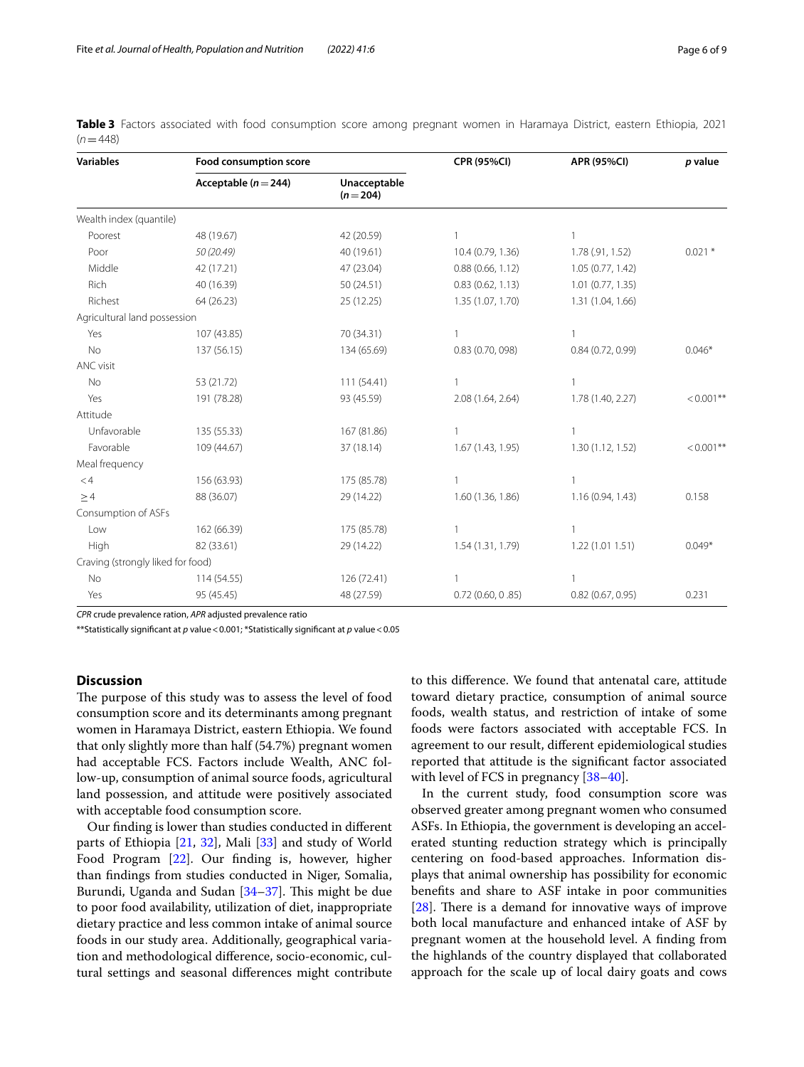| <b>Variables</b>                  | Food consumption score   |                           | <b>CPR (95%CI)</b>  | <b>APR (95%CI)</b>  | p value      |
|-----------------------------------|--------------------------|---------------------------|---------------------|---------------------|--------------|
|                                   | Acceptable ( $n = 244$ ) | Unacceptable<br>$(n=204)$ |                     |                     |              |
| Wealth index (quantile)           |                          |                           |                     |                     |              |
| Poorest                           | 48 (19.67)               | 42 (20.59)                |                     |                     |              |
| Poor                              | 50 (20.49)               | 40 (19.61)                | 10.4 (0.79, 1.36)   | 1.78 (.91, 1.52)    | $0.021$ *    |
| Middle                            | 42 (17.21)               | 47 (23.04)                | 0.88(0.66, 1.12)    | 1.05 (0.77, 1.42)   |              |
| Rich                              | 40 (16.39)               | 50 (24.51)                | 0.83(0.62, 1.13)    | $1.01$ (0.77, 1.35) |              |
| Richest                           | 64 (26.23)               | 25 (12.25)                | 1.35 (1.07, 1.70)   | 1.31 (1.04, 1.66)   |              |
| Agricultural land possession      |                          |                           |                     |                     |              |
| Yes                               | 107 (43.85)              | 70 (34.31)                |                     |                     |              |
| <b>No</b>                         | 137 (56.15)              | 134 (65.69)               | 0.83 (0.70, 098)    | 0.84(0.72, 0.99)    | $0.046*$     |
| ANC visit                         |                          |                           |                     |                     |              |
| No                                | 53 (21.72)               | 111 (54.41)               |                     |                     |              |
| Yes                               | 191 (78.28)              | 93 (45.59)                | 2.08 (1.64, 2.64)   | 1.78 (1.40, 2.27)   | $< 0.001$ ** |
| Attitude                          |                          |                           |                     |                     |              |
| Unfavorable                       | 135 (55.33)              | 167 (81.86)               |                     |                     |              |
| Favorable                         | 109 (44.67)              | 37 (18.14)                | 1.67 (1.43, 1.95)   | 1.30(1.12, 1.52)    | $< 0.001$ ** |
| Meal frequency                    |                          |                           |                     |                     |              |
| $<$ 4                             | 156 (63.93)              | 175 (85.78)               |                     |                     |              |
| >4                                | 88 (36.07)               | 29 (14.22)                | 1.60 (1.36, 1.86)   | 1.16 (0.94, 1.43)   | 0.158        |
| Consumption of ASFs               |                          |                           |                     |                     |              |
| Low                               | 162 (66.39)              | 175 (85.78)               |                     | $\mathbf{1}$        |              |
| High                              | 82 (33.61)               | 29 (14.22)                | 1.54 (1.31, 1.79)   | 1.22(1.011.51)      | $0.049*$     |
| Craving (strongly liked for food) |                          |                           |                     |                     |              |
| No                                | 114 (54.55)              | 126 (72.41)               |                     |                     |              |
| Yes                               | 95 (45.45)               | 48 (27.59)                | $0.72$ (0.60, 0.85) | 0.82(0.67, 0.95)    | 0.231        |

<span id="page-5-0"></span>**Table 3** Factors associated with food consumption score among pregnant women in Haramaya District, eastern Ethiopia, 2021  $(n=448)$ 

*CPR* crude prevalence ration, *APR* adjusted prevalence ratio

\*\*Statistically signifcant at *p* value<0.001; \*Statistically signifcant at *p* value<0.05

#### **Discussion**

The purpose of this study was to assess the level of food consumption score and its determinants among pregnant women in Haramaya District, eastern Ethiopia. We found that only slightly more than half (54.7%) pregnant women had acceptable FCS. Factors include Wealth, ANC follow-up, consumption of animal source foods, agricultural land possession, and attitude were positively associated with acceptable food consumption score.

Our fnding is lower than studies conducted in diferent parts of Ethiopia [\[21,](#page-7-20) [32](#page-7-28)], Mali [[33](#page-7-29)] and study of World Food Program [\[22\]](#page-7-21). Our fnding is, however, higher than fndings from studies conducted in Niger, Somalia, Burundi, Uganda and Sudan  $[34-37]$  $[34-37]$  $[34-37]$ . This might be due to poor food availability, utilization of diet, inappropriate dietary practice and less common intake of animal source foods in our study area. Additionally, geographical variation and methodological diference, socio-economic, cultural settings and seasonal diferences might contribute to this diference. We found that antenatal care, attitude toward dietary practice, consumption of animal source foods, wealth status, and restriction of intake of some foods were factors associated with acceptable FCS. In agreement to our result, diferent epidemiological studies reported that attitude is the signifcant factor associated with level of FCS in pregnancy [[38](#page-7-32)[–40](#page-8-0)].

In the current study, food consumption score was observed greater among pregnant women who consumed ASFs. In Ethiopia, the government is developing an accelerated stunting reduction strategy which is principally centering on food-based approaches. Information displays that animal ownership has possibility for economic benefts and share to ASF intake in poor communities [ $28$ ]. There is a demand for innovative ways of improve both local manufacture and enhanced intake of ASF by pregnant women at the household level. A fnding from the highlands of the country displayed that collaborated approach for the scale up of local dairy goats and cows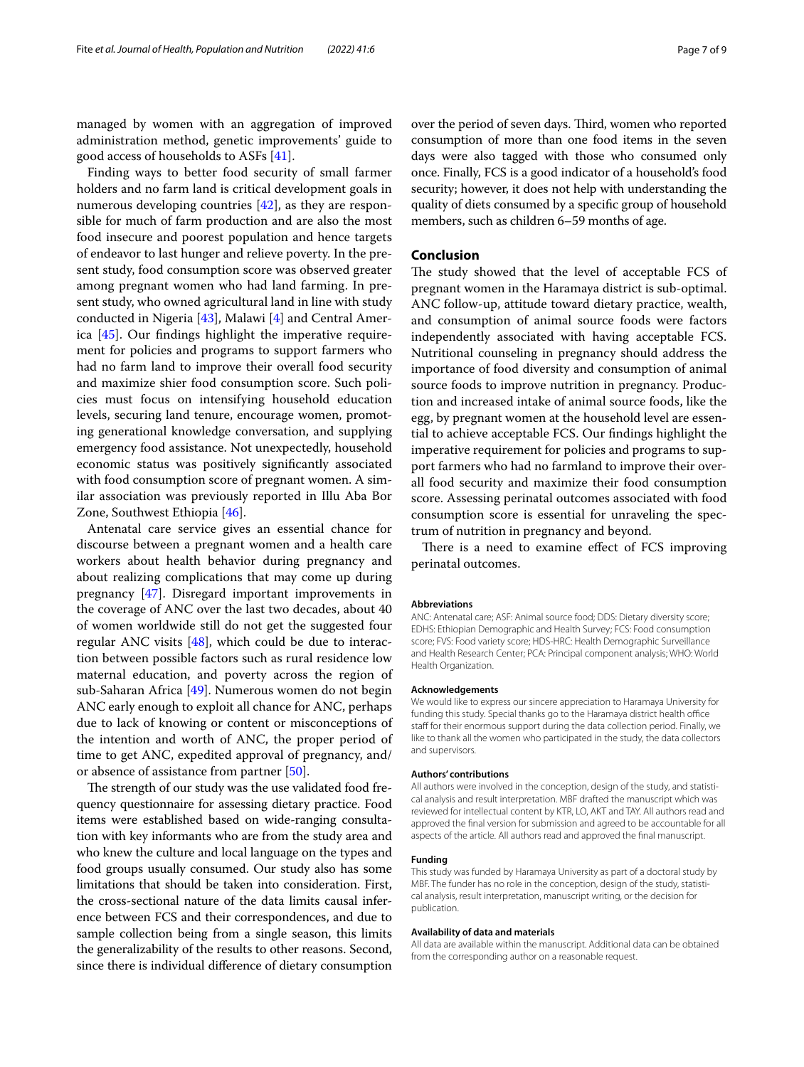managed by women with an aggregation of improved administration method, genetic improvements' guide to good access of households to ASFs [\[41](#page-8-1)].

Finding ways to better food security of small farmer holders and no farm land is critical development goals in numerous developing countries [\[42\]](#page-8-2), as they are responsible for much of farm production and are also the most food insecure and poorest population and hence targets of endeavor to last hunger and relieve poverty. In the present study, food consumption score was observed greater among pregnant women who had land farming. In present study, who owned agricultural land in line with study conducted in Nigeria [[43\]](#page-8-3), Malawi [\[4](#page-7-3)] and Central America [\[45](#page-8-4)]. Our fndings highlight the imperative requirement for policies and programs to support farmers who had no farm land to improve their overall food security and maximize shier food consumption score. Such policies must focus on intensifying household education levels, securing land tenure, encourage women, promoting generational knowledge conversation, and supplying emergency food assistance. Not unexpectedly, household economic status was positively signifcantly associated with food consumption score of pregnant women. A similar association was previously reported in Illu Aba Bor Zone, Southwest Ethiopia [\[46](#page-8-5)].

Antenatal care service gives an essential chance for discourse between a pregnant women and a health care workers about health behavior during pregnancy and about realizing complications that may come up during pregnancy [\[47](#page-8-6)]. Disregard important improvements in the coverage of ANC over the last two decades, about 40 of women worldwide still do not get the suggested four regular ANC visits  $[48]$  $[48]$ , which could be due to interaction between possible factors such as rural residence low maternal education, and poverty across the region of sub-Saharan Africa [\[49](#page-8-8)]. Numerous women do not begin ANC early enough to exploit all chance for ANC, perhaps due to lack of knowing or content or misconceptions of the intention and worth of ANC, the proper period of time to get ANC, expedited approval of pregnancy, and/ or absence of assistance from partner [\[50](#page-8-9)].

The strength of our study was the use validated food frequency questionnaire for assessing dietary practice. Food items were established based on wide-ranging consultation with key informants who are from the study area and who knew the culture and local language on the types and food groups usually consumed. Our study also has some limitations that should be taken into consideration. First, the cross-sectional nature of the data limits causal inference between FCS and their correspondences, and due to sample collection being from a single season, this limits the generalizability of the results to other reasons. Second, since there is individual diference of dietary consumption over the period of seven days. Third, women who reported consumption of more than one food items in the seven days were also tagged with those who consumed only once. Finally, FCS is a good indicator of a household's food security; however, it does not help with understanding the quality of diets consumed by a specifc group of household members, such as children 6–59 months of age.

#### **Conclusion**

The study showed that the level of acceptable FCS of pregnant women in the Haramaya district is sub-optimal. ANC follow-up, attitude toward dietary practice, wealth, and consumption of animal source foods were factors independently associated with having acceptable FCS. Nutritional counseling in pregnancy should address the importance of food diversity and consumption of animal source foods to improve nutrition in pregnancy. Production and increased intake of animal source foods, like the egg, by pregnant women at the household level are essential to achieve acceptable FCS. Our fndings highlight the imperative requirement for policies and programs to support farmers who had no farmland to improve their overall food security and maximize their food consumption score. Assessing perinatal outcomes associated with food consumption score is essential for unraveling the spectrum of nutrition in pregnancy and beyond.

There is a need to examine effect of FCS improving perinatal outcomes.

#### **Abbreviations**

ANC: Antenatal care; ASF: Animal source food; DDS: Dietary diversity score; EDHS: Ethiopian Demographic and Health Survey; FCS: Food consumption score; FVS: Food variety score; HDS-HRC: Health Demographic Surveillance and Health Research Center; PCA: Principal component analysis; WHO: World Health Organization.

#### **Acknowledgements**

We would like to express our sincere appreciation to Haramaya University for funding this study. Special thanks go to the Haramaya district health office staff for their enormous support during the data collection period. Finally, we like to thank all the women who participated in the study, the data collectors and supervisors.

#### **Authors' contributions**

All authors were involved in the conception, design of the study, and statistical analysis and result interpretation. MBF drafted the manuscript which was reviewed for intellectual content by KTR, LO, AKT and TAY. All authors read and approved the fnal version for submission and agreed to be accountable for all aspects of the article. All authors read and approved the fnal manuscript.

#### **Funding**

This study was funded by Haramaya University as part of a doctoral study by MBF. The funder has no role in the conception, design of the study, statistical analysis, result interpretation, manuscript writing, or the decision for publication.

#### **Availability of data and materials**

All data are available within the manuscript. Additional data can be obtained from the corresponding author on a reasonable request.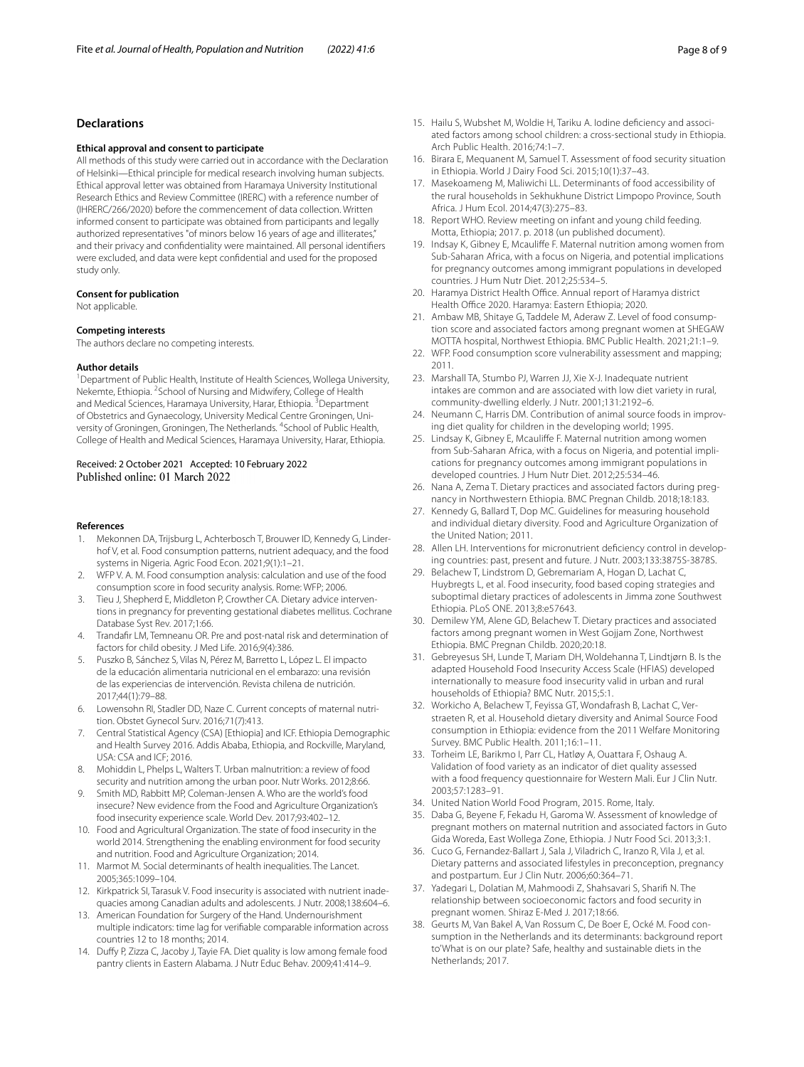#### **Declarations**

#### **Ethical approval and consent to participate**

All methods of this study were carried out in accordance with the Declaration of Helsinki—Ethical principle for medical research involving human subjects. Ethical approval letter was obtained from Haramaya University Institutional Research Ethics and Review Committee (IRERC) with a reference number of (IHRERC/266/2020) before the commencement of data collection. Written informed consent to participate was obtained from participants and legally authorized representatives "of minors below 16 years of age and illiterates," and their privacy and confdentiality were maintained. All personal identifers were excluded, and data were kept confdential and used for the proposed study only.

#### **Consent for publication**

Not applicable.

#### **Competing interests**

The authors declare no competing interests.

#### **Author details**

<sup>1</sup> Department of Public Health, Institute of Health Sciences, Wollega University, Nekemte, Ethiopia. <sup>2</sup> School of Nursing and Midwifery, College of Health and Medical Sciences, Haramaya University, Harar, Ethiopia. <sup>3</sup>Department of Obstetrics and Gynaecology, University Medical Centre Groningen, University of Groningen, Groningen, The Netherlands. <sup>4</sup>School of Public Health, College of Health and Medical Sciences, Haramaya University, Harar, Ethiopia.

# Received: 2 October 2021 Accepted: 10 February 2022

#### **References**

- <span id="page-7-0"></span>Mekonnen DA, Trijsburg L, Achterbosch T, Brouwer ID, Kennedy G, Linderhof V, et al. Food consumption patterns, nutrient adequacy, and the food systems in Nigeria. Agric Food Econ. 2021;9(1):1–21.
- <span id="page-7-1"></span>2. WFP V. A. M. Food consumption analysis: calculation and use of the food consumption score in food security analysis. Rome: WFP; 2006.
- <span id="page-7-2"></span>3. Tieu J, Shepherd E, Middleton P, Crowther CA. Dietary advice interventions in pregnancy for preventing gestational diabetes mellitus. Cochrane Database Syst Rev. 2017;1:66.
- <span id="page-7-3"></span>4. Trandafr LM, Temneanu OR. Pre and post-natal risk and determination of factors for child obesity. J Med Life. 2016;9(4):386.
- <span id="page-7-4"></span>5. Puszko B, Sánchez S, Vilas N, Pérez M, Barretto L, López L. El impacto de la educación alimentaria nutricional en el embarazo: una revisión de las experiencias de intervención. Revista chilena de nutrición. 2017;44(1):79–88.
- <span id="page-7-5"></span>6. Lowensohn RI, Stadler DD, Naze C. Current concepts of maternal nutrition. Obstet Gynecol Surv. 2016;71(7):413.
- <span id="page-7-6"></span>7. Central Statistical Agency (CSA) [Ethiopia] and ICF. Ethiopia Demographic and Health Survey 2016. Addis Ababa, Ethiopia, and Rockville, Maryland, USA: CSA and ICF; 2016.
- <span id="page-7-7"></span>8. Mohiddin L, Phelps L, Walters T. Urban malnutrition: a review of food security and nutrition among the urban poor. Nutr Works. 2012;8:66.
- <span id="page-7-8"></span>9. Smith MD, Rabbitt MP, Coleman-Jensen A. Who are the world's food insecure? New evidence from the Food and Agriculture Organization's food insecurity experience scale. World Dev. 2017;93:402–12.
- <span id="page-7-9"></span>10. Food and Agricultural Organization. The state of food insecurity in the world 2014. Strengthening the enabling environment for food security and nutrition. Food and Agriculture Organization; 2014.
- <span id="page-7-10"></span>11. Marmot M. Social determinants of health inequalities. The Lancet. 2005;365:1099–104.
- <span id="page-7-11"></span>12. Kirkpatrick SI, Tarasuk V. Food insecurity is associated with nutrient inadequacies among Canadian adults and adolescents. J Nutr. 2008;138:604–6.
- <span id="page-7-12"></span>13. American Foundation for Surgery of the Hand. Undernourishment multiple indicators: time lag for verifable comparable information across countries 12 to 18 months; 2014.
- <span id="page-7-13"></span>14. Dufy P, Zizza C, Jacoby J, Tayie FA. Diet quality is low among female food pantry clients in Eastern Alabama. J Nutr Educ Behav. 2009;41:414–9.
- <span id="page-7-14"></span>15. Hailu S, Wubshet M, Woldie H, Tariku A. Iodine defciency and associated factors among school children: a cross-sectional study in Ethiopia. Arch Public Health. 2016;74:1–7.
- <span id="page-7-15"></span>16. Birara E, Mequanent M, Samuel T. Assessment of food security situation in Ethiopia. World J Dairy Food Sci. 2015;10(1):37–43.
- <span id="page-7-16"></span>17. Masekoameng M, Maliwichi LL. Determinants of food accessibility of the rural households in Sekhukhune District Limpopo Province, South Africa. J Hum Ecol. 2014;47(3):275–83.
- <span id="page-7-17"></span>18. Report WHO. Review meeting on infant and young child feeding. Motta, Ethiopia; 2017. p. 2018 (un published document).
- <span id="page-7-18"></span>19. Indsay K, Gibney E, Mcaulife F. Maternal nutrition among women from Sub-Saharan Africa, with a focus on Nigeria, and potential implications for pregnancy outcomes among immigrant populations in developed countries. J Hum Nutr Diet. 2012;25:534–5.
- <span id="page-7-19"></span>20. Haramya District Health Office. Annual report of Haramya district Health Office 2020. Haramya: Eastern Ethiopia; 2020.
- <span id="page-7-20"></span>21. Ambaw MB, Shitaye G, Taddele M, Aderaw Z. Level of food consumption score and associated factors among pregnant women at SHEGAW MOTTA hospital, Northwest Ethiopia. BMC Public Health. 2021;21:1–9.
- <span id="page-7-21"></span>22. WFP. Food consumption score vulnerability assessment and mapping; 2011.
- <span id="page-7-22"></span>23. Marshall TA, Stumbo PJ, Warren JJ, Xie X-J. Inadequate nutrient intakes are common and are associated with low diet variety in rural, community-dwelling elderly. J Nutr. 2001;131:2192–6.
- 24. Neumann C, Harris DM. Contribution of animal source foods in improving diet quality for children in the developing world; 1995.
- 25. Lindsay K, Gibney E, Mcaulife F. Maternal nutrition among women from Sub-Saharan Africa, with a focus on Nigeria, and potential implications for pregnancy outcomes among immigrant populations in developed countries. J Hum Nutr Diet. 2012;25:534–46.
- 26. Nana A, Zema T. Dietary practices and associated factors during pregnancy in Northwestern Ethiopia. BMC Pregnan Childb. 2018;18:183.
- <span id="page-7-23"></span>27. Kennedy G, Ballard T, Dop MC. Guidelines for measuring household and individual dietary diversity. Food and Agriculture Organization of the United Nation; 2011.
- <span id="page-7-24"></span>28. Allen LH. Interventions for micronutrient defciency control in developing countries: past, present and future. J Nutr. 2003;133:3875S-3878S.
- <span id="page-7-25"></span>29. Belachew T, Lindstrom D, Gebremariam A, Hogan D, Lachat C, Huybregts L, et al. Food insecurity, food based coping strategies and suboptimal dietary practices of adolescents in Jimma zone Southwest Ethiopia. PLoS ONE. 2013;8:e57643.
- <span id="page-7-26"></span>30. Demilew YM, Alene GD, Belachew T. Dietary practices and associated factors among pregnant women in West Gojjam Zone, Northwest Ethiopia. BMC Pregnan Childb. 2020;20:18.
- <span id="page-7-27"></span>31. Gebreyesus SH, Lunde T, Mariam DH, Woldehanna T, Lindtjørn B. Is the adapted Household Food Insecurity Access Scale (HFIAS) developed internationally to measure food insecurity valid in urban and rural households of Ethiopia? BMC Nutr. 2015;5:1.
- <span id="page-7-28"></span>32. Workicho A, Belachew T, Feyissa GT, Wondafrash B, Lachat C, Verstraeten R, et al. Household dietary diversity and Animal Source Food consumption in Ethiopia: evidence from the 2011 Welfare Monitoring Survey. BMC Public Health. 2011;16:1–11.
- <span id="page-7-29"></span>33. Torheim LE, Barikmo I, Parr CL, Hatløy A, Ouattara F, Oshaug A. Validation of food variety as an indicator of diet quality assessed with a food frequency questionnaire for Western Mali. Eur J Clin Nutr. 2003;57:1283–91.
- <span id="page-7-30"></span>34. United Nation World Food Program, 2015. Rome, Italy.
- 35. Daba G, Beyene F, Fekadu H, Garoma W. Assessment of knowledge of pregnant mothers on maternal nutrition and associated factors in Guto Gida Woreda, East Wollega Zone, Ethiopia. J Nutr Food Sci. 2013;3:1.
- 36. Cuco G, Fernandez-Ballart J, Sala J, Viladrich C, Iranzo R, Vila J, et al. Dietary patterns and associated lifestyles in preconception, pregnancy and postpartum. Eur J Clin Nutr. 2006;60:364–71.
- <span id="page-7-31"></span>37. Yadegari L, Dolatian M, Mahmoodi Z, Shahsavari S, Sharif N. The relationship between socioeconomic factors and food security in pregnant women. Shiraz E-Med J. 2017;18:66.
- <span id="page-7-32"></span>38. Geurts M, Van Bakel A, Van Rossum C, De Boer E, Ocké M. Food consumption in the Netherlands and its determinants: background report to'What is on our plate? Safe, healthy and sustainable diets in the Netherlands; 2017.